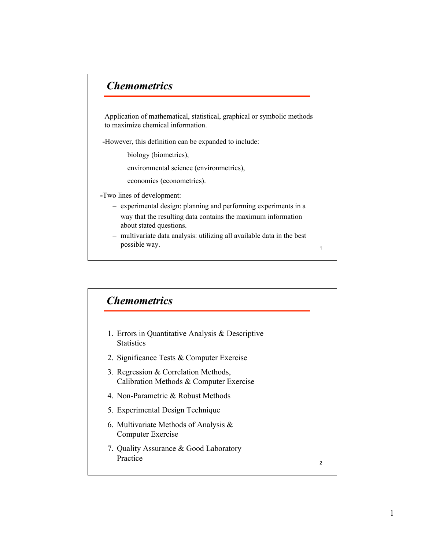## *Chemometrics Chemometrics*

Application of mathematical, statistical, graphical or symbolic methods to maximize chemical information.

-However, this definition can be expanded to include:

biology (biometrics),

environmental science (environmetrics),

economics (econometrics).

-Two lines of development:

- experimental design: planning and performing experiments in a way that the resulting data contains the maximum information about stated questions.
- multivariate data analysis: utilizing all available data in the best possible way.

1

2 1. Errors in Quantitative Analysis & Descriptive **Statistics** 2. Significance Tests & Computer Exercise 3. Regression & Correlation Methods, Calibration Methods & Computer Exercise 4. Non-Parametric & Robust Methods 5. Experimental Design Technique 6. Multivariate Methods of Analysis & Computer Exercise 7. Quality Assurance & Good Laboratory Practice *Chemometrics Chemometrics*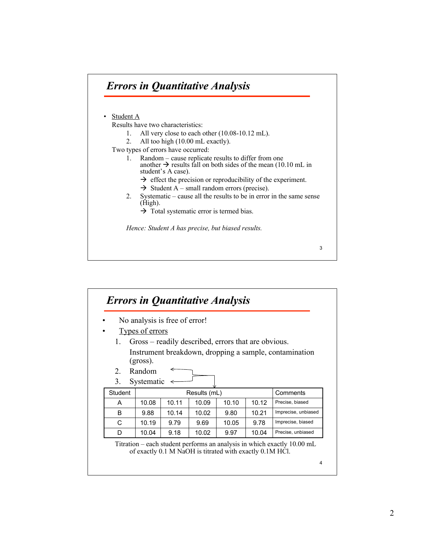

|             |                        | No analysis is free of error! |              |                                                     |       |                                                        |
|-------------|------------------------|-------------------------------|--------------|-----------------------------------------------------|-------|--------------------------------------------------------|
|             | <b>Types of errors</b> |                               |              |                                                     |       |                                                        |
| 1.          |                        |                               |              | Gross – readily described, errors that are obvious. |       |                                                        |
|             |                        |                               |              |                                                     |       | Instrument breakdown, dropping a sample, contamination |
|             | $(gross)$ .            |                               |              |                                                     |       |                                                        |
| $2^{\circ}$ | Random                 |                               |              |                                                     |       |                                                        |
| 3.          | Systematic             |                               |              |                                                     |       |                                                        |
|             |                        |                               | Results (mL) |                                                     |       | Comments                                               |
| Student     |                        |                               |              |                                                     |       |                                                        |
| A           | 10.08                  | 10.11                         | 10.09        | 10.10                                               | 10.12 | Precise, biased                                        |
| B           | 9.88                   | 10.14                         | 10.02        | 9.80                                                | 10.21 | Imprecise, unbiased                                    |
| C           | 10.19                  | 9.79                          | 9.69         | 10.05                                               | 9.78  | Imprecise, biased                                      |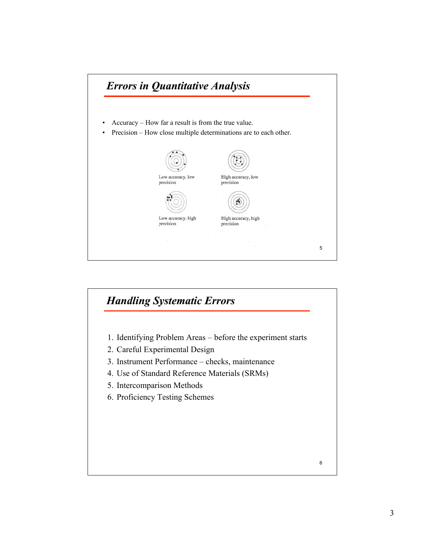

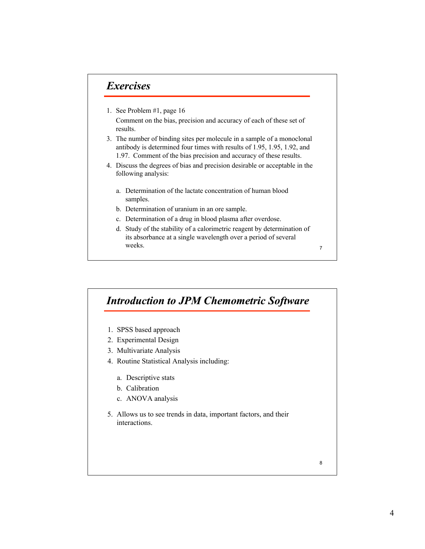## *Exercises Exercises*

- 1. See Problem #1, page 16 Comment on the bias, precision and accuracy of each of these set of results.
- 3. The number of binding sites per molecule in a sample of a monoclonal antibody is determined four times with results of 1.95, 1.95, 1.92, and 1.97. Comment of the bias precision and accuracy of these results.
- 4. Discuss the degrees of bias and precision desirable or acceptable in the following analysis:
	- a. Determination of the lactate concentration of human blood samples.
	- b. Determination of uranium in an ore sample.
	- c. Determination of a drug in blood plasma after overdose.
	- d. Study of the stability of a calorimetric reagent by determination of its absorbance at a single wavelength over a period of several weeks.

7

## *Introduction to JPM Chemometric Software*

- 1. SPSS based approach
- 2. Experimental Design
- 3. Multivariate Analysis
- 4. Routine Statistical Analysis including:
	- a. Descriptive stats
	- b. Calibration
	- c. ANOVA analysis
- 5. Allows us to see trends in data, important factors, and their interactions.

8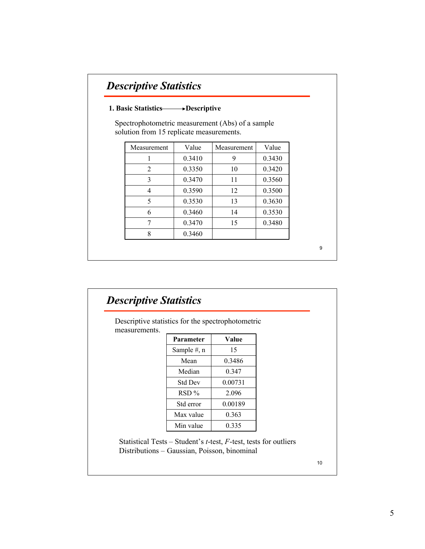## *Descriptive Statistics Descriptive Statistics*

#### 1. Basic Statistics Descriptive

Spectrophotometric measurement (Abs) of a sample solution from 15 replicate measurements.

| Measurement | Value  | Measurement | Value  |
|-------------|--------|-------------|--------|
|             | 0.3410 | 9           | 0.3430 |
| 2           | 0.3350 | 10          | 0.3420 |
| 3           | 0.3470 | 11          | 0.3560 |
| 4           | 0.3590 | 12          | 0.3500 |
| 5           | 0.3530 | 13          | 0.3630 |
| 6           | 0.3460 | 14          | 0.3530 |
|             | 0.3470 | 15          | 0.3480 |
| Ջ           | 0.3460 |             |        |

9

| measurements. | Descriptive statistics for the spectrophotometric |         |  |
|---------------|---------------------------------------------------|---------|--|
|               | <b>Parameter</b>                                  | Value   |  |
|               | Sample $#$ , n                                    | 15      |  |
|               | Mean                                              | 0.3486  |  |
|               | Median                                            | 0.347   |  |
|               | Std Dev                                           | 0.00731 |  |
|               | $RSD\%$                                           | 2.096   |  |
|               | Std error                                         | 0.00189 |  |
|               | Max value                                         | 0.363   |  |
|               | Min value                                         | 0.335   |  |

10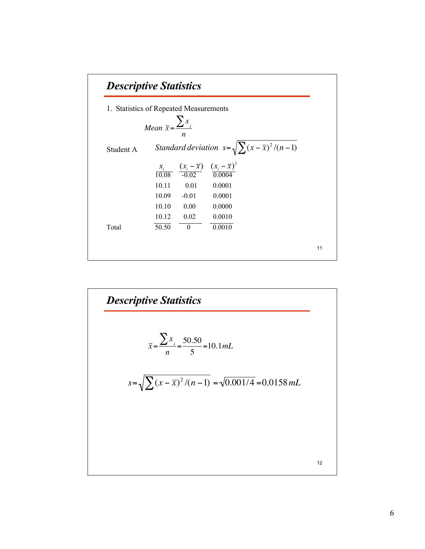

**Describe Statistics**  
\n
$$
\overline{x} = \frac{\sum x_i}{n} = \frac{50.50}{5} = 10.1 mL
$$
\n
$$
s = \sqrt{\sum (x - \overline{x})^2 / (n - 1)} = \sqrt{0.001/4} = 0.0158 mL
$$
\n
$$
t = 0.0158 mL
$$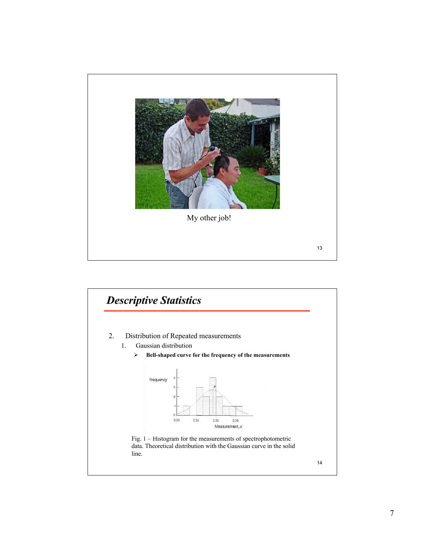

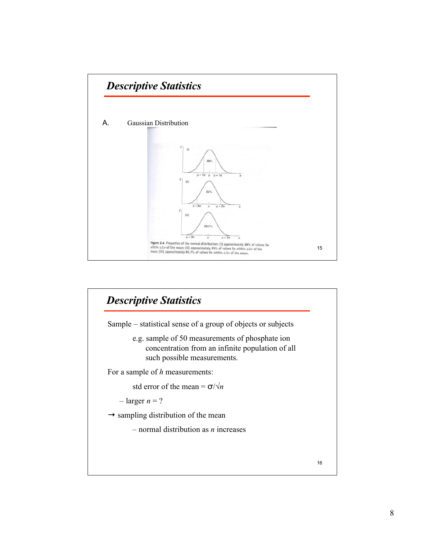

# 16 *Descriptive Statistics Descriptive Statistics* Sample – statistical sense of a group of objects or subjects e.g. sample of 50 measurements of phosphate ion concentration from an infinite population of all such possible measurements. For a sample of *h* measurements: std error of the mean =  $\sigma/\sqrt{n}$  $-$  larger  $n = ?$  $\rightarrow$  sampling distribution of the mean – normal distribution as *n* increases